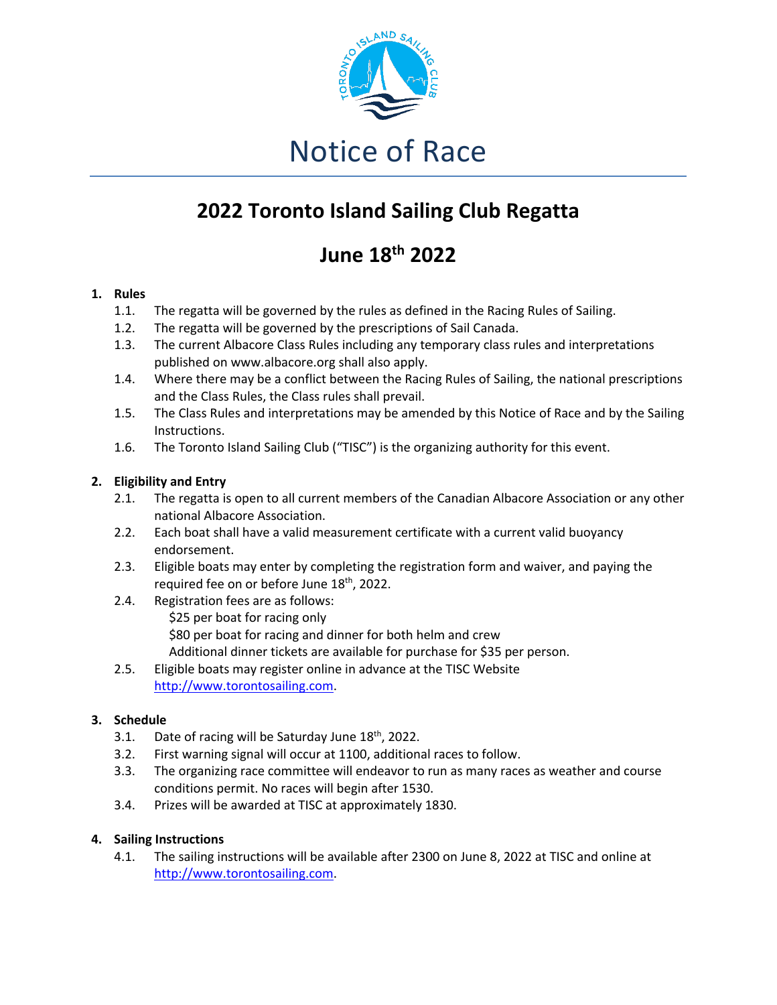

# Notice of Race

# **2022 Toronto Island Sailing Club Regatta**

# **June 18th 2022**

## **1. Rules**

- 1.1. The regatta will be governed by the rules as defined in the Racing Rules of Sailing.
- 1.2. The regatta will be governed by the prescriptions of Sail Canada.
- 1.3. The current Albacore Class Rules including any temporary class rules and interpretations published on www.albacore.org shall also apply.
- 1.4. Where there may be a conflict between the Racing Rules of Sailing, the national prescriptions and the Class Rules, the Class rules shall prevail.
- 1.5. The Class Rules and interpretations may be amended by this Notice of Race and by the Sailing Instructions.
- 1.6. The Toronto Island Sailing Club ("TISC") is the organizing authority for this event.

## **2. Eligibility and Entry**

- 2.1. The regatta is open to all current members of the Canadian Albacore Association or any other national Albacore Association.
- 2.2. Each boat shall have a valid measurement certificate with a current valid buoyancy endorsement.
- 2.3. Eligible boats may enter by completing the registration form and waiver, and paying the required fee on or before June 18th, 2022.
- 2.4. Registration fees are as follows: \$25 per boat for racing only \$80 per boat for racing and dinner for both helm and crew Additional dinner tickets are available for purchase for \$35 per person.
- 2.5. Eligible boats may register online in advance at the TISC Website http://www.torontosailing.com.

# **3. Schedule**

- 3.1. Date of racing will be Saturday June  $18<sup>th</sup>$ , 2022.
- 3.2. First warning signal will occur at 1100, additional races to follow.
- 3.3. The organizing race committee will endeavor to run as many races as weather and course conditions permit. No races will begin after 1530.
- 3.4. Prizes will be awarded at TISC at approximately 1830.

### **4. Sailing Instructions**

4.1. The sailing instructions will be available after 2300 on June 8, 2022 at TISC and online at http://www.torontosailing.com.